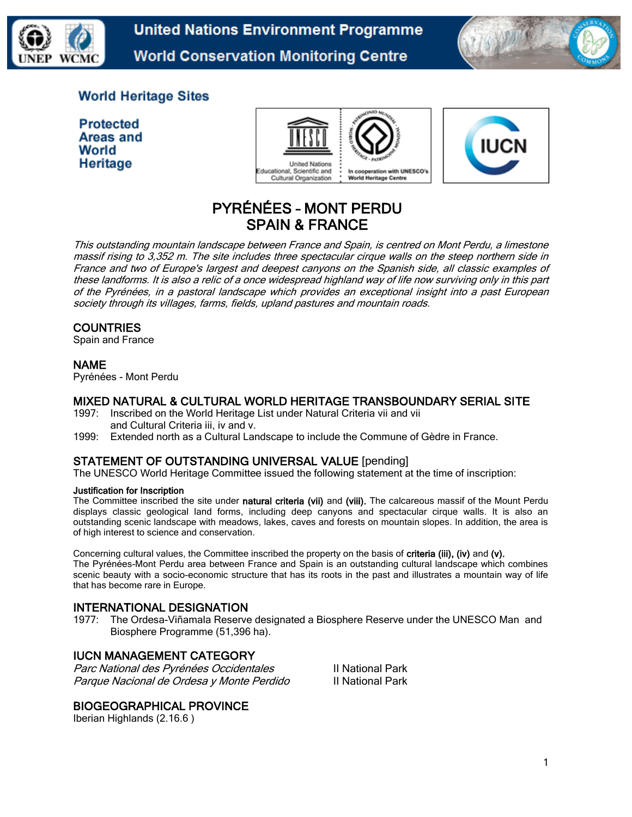

**United Nations Environment Programme World Conservation Monitoring Centre** 



## **World Heritage Sites**

**Protected** Areas and World Heritage





# PYRÉNÉES – MONT PERDU SPAIN & FRANCE

This outstanding mountain landscape between France and Spain, is centred on Mont Perdu, a limestone massif rising to 3,352 m. The site includes three spectacular cirque walls on the steep northern side in France and two of Europe's largest and deepest canyons on the Spanish side, all classic examples of these landforms. It is also a relic of a once widespread highland way of life now surviving only in this part of the Pyrénées, in a pastoral landscape which provides an exceptional insight into a past European society through its villages, farms, fields, upland pastures and mountain roads.

## **COUNTRIES**

Spain and France

### NAME

Pyrénées - Mont Perdu

#### MIXED NATURAL & CULTURAL WORLD HERITAGE TRANSBOUNDARY SERIAL SITE

- 1997: Inscribed on the World Heritage List under Natural Criteria vii and vii and Cultural Criteria iii, iv and v.
- 1999: Extended north as a Cultural Landscape to include the Commune of Gèdre in France.

### STATEMENT OF OUTSTANDING UNIVERSAL VALUE [pending]

The UNESCO World Heritage Committee issued the following statement at the time of inscription:

#### Justification for Inscription

The Committee inscribed the site under natural criteria (vii) and (viii). The calcareous massif of the Mount Perdu displays classic geological land forms, including deep canyons and spectacular cirque walls. It is also an outstanding scenic landscape with meadows, lakes, caves and forests on mountain slopes. In addition, the area is of high interest to science and conservation.

Concerning cultural values, the Committee inscribed the property on the basis of criteria (iii), (iv) and (v). The Pyrénées-Mont Perdu area between France and Spain is an outstanding cultural landscape which combines scenic beauty with a socio-economic structure that has its roots in the past and illustrates a mountain way of life that has become rare in Europe.

### INTERNATIONAL DESIGNATION

1977: The Ordesa-Viñamala Reserve designated a Biosphere Reserve under the UNESCO Man and Biosphere Programme (51,396 ha).

### IUCN MANAGEMENT CATEGORY

Parc National des Pyrénées Occidentales III National Park Parque Nacional de Ordesa y Monte Perdido III National Park

### BIOGEOGRAPHICAL PROVINCE

Iberian Highlands (2.16.6 )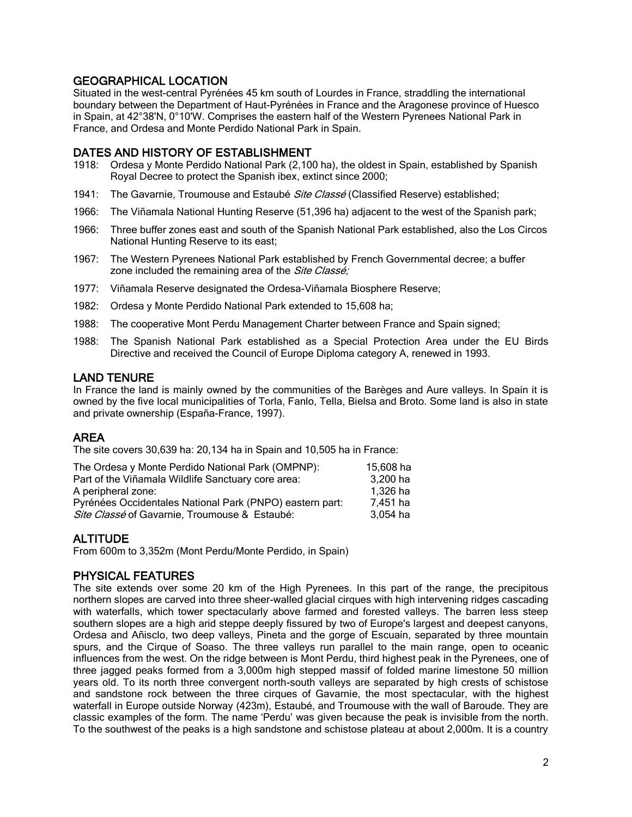## GEOGRAPHICAL LOCATION

Situated in the west-central Pyrénées 45 km south of Lourdes in France, straddling the international boundary between the Department of Haut-Pyrénées in France and the Aragonese province of Huesco in Spain, at 42°38'N, 0°10'W. Comprises the eastern half of the Western Pyrenees National Park in France, and Ordesa and Monte Perdido National Park in Spain.

### DATES AND HISTORY OF ESTABLISHMENT

- 1918: Ordesa y Monte Perdido National Park (2,100 ha), the oldest in Spain, established by Spanish Royal Decree to protect the Spanish ibex, extinct since 2000;
- 1941: The Gavarnie, Troumouse and Estaubé Site Classé (Classified Reserve) established;
- 1966: The Viñamala National Hunting Reserve (51,396 ha) adjacent to the west of the Spanish park;
- 1966: Three buffer zones east and south of the Spanish National Park established, also the Los Circos National Hunting Reserve to its east;
- 1967: The Western Pyrenees National Park established by French Governmental decree; a buffer zone included the remaining area of the Site Classé;
- 1977: Viñamala Reserve designated the Ordesa-Viñamala Biosphere Reserve;
- 1982: Ordesa y Monte Perdido National Park extended to 15,608 ha;
- 1988: The cooperative Mont Perdu Management Charter between France and Spain signed;
- 1988: The Spanish National Park established as a Special Protection Area under the EU Birds Directive and received the Council of Europe Diploma category A, renewed in 1993.

### LAND TENURE

In France the land is mainly owned by the communities of the Barèges and Aure valleys. In Spain it is owned by the five local municipalities of Torla, Fanlo, Tella, Bielsa and Broto. Some land is also in state and private ownership (España-France, 1997).

### AREA

The site covers 30,639 ha: 20,134 ha in Spain and 10,505 ha in France:

| The Ordesa y Monte Perdido National Park (OMPNP):        | 15.608 ha |
|----------------------------------------------------------|-----------|
| Part of the Viñamala Wildlife Sanctuary core area:       | 3,200 ha  |
| A peripheral zone:                                       | 1,326 ha  |
| Pyrénées Occidentales National Park (PNPO) eastern part: | 7.451 ha  |
| Site Classé of Gavarnie, Troumouse & Estaubé:            | 3,054 ha  |

## **ALTITUDE**

From 600m to 3,352m (Mont Perdu/Monte Perdido, in Spain)

### PHYSICAL FEATURES

The site extends over some 20 km of the High Pyrenees. In this part of the range, the precipitous northern slopes are carved into three sheer-walled glacial cirques with high intervening ridges cascading with waterfalls, which tower spectacularly above farmed and forested valleys. The barren less steep southern slopes are a high arid steppe deeply fissured by two of Europe's largest and deepest canyons, Ordesa and Añisclo, two deep valleys, Pineta and the gorge of Escuaín, separated by three mountain spurs, and the Cirque of Soaso. The three valleys run parallel to the main range, open to oceanic influences from the west. On the ridge between is Mont Perdu, third highest peak in the Pyrenees, one of three jagged peaks formed from a 3,000m high stepped massif of folded marine limestone 50 million years old. To its north three convergent north-south valleys are separated by high crests of schistose and sandstone rock between the three cirques of Gavarnie, the most spectacular, with the highest waterfall in Europe outside Norway (423m), Estaubé, and Troumouse with the wall of Baroude. They are classic examples of the form. The name 'Perdu' was given because the peak is invisible from the north. To the southwest of the peaks is a high sandstone and schistose plateau at about 2,000m. It is a country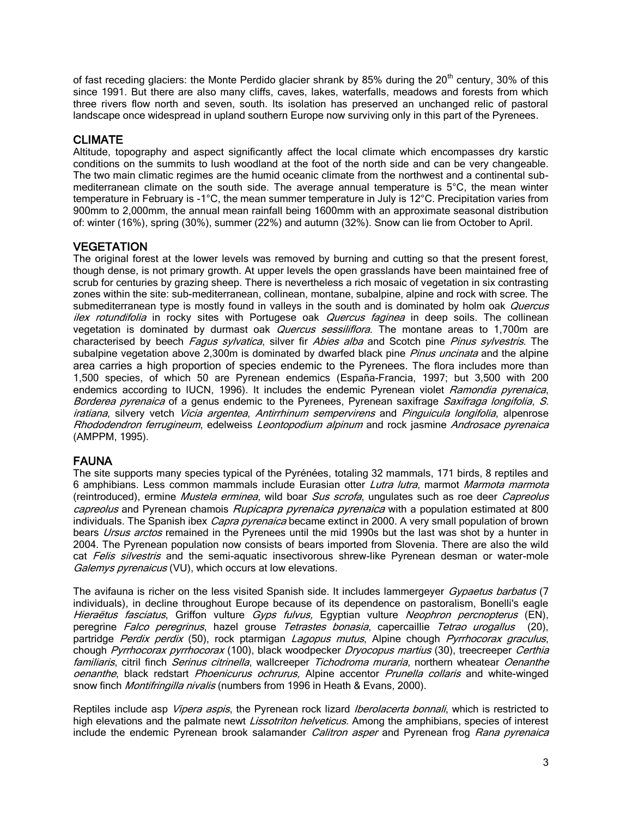of fast receding glaciers: the Monte Perdido glacier shrank by 85% during the  $20<sup>th</sup>$  century, 30% of this since 1991. But there are also many cliffs, caves, lakes, waterfalls, meadows and forests from which three rivers flow north and seven, south. Its isolation has preserved an unchanged relic of pastoral landscape once widespread in upland southern Europe now surviving only in this part of the Pyrenees.

## CLIMATE

Altitude, topography and aspect significantly affect the local climate which encompasses dry karstic conditions on the summits to lush woodland at the foot of the north side and can be very changeable. The two main climatic regimes are the humid oceanic climate from the northwest and a continental submediterranean climate on the south side. The average annual temperature is 5°C, the mean winter temperature in February is -1°C, the mean summer temperature in July is 12°C. Precipitation varies from 900mm to 2,000mm, the annual mean rainfall being 1600mm with an approximate seasonal distribution of: winter (16%), spring (30%), summer (22%) and autumn (32%). Snow can lie from October to April.

### **VEGETATION**

The original forest at the lower levels was removed by burning and cutting so that the present forest, though dense, is not primary growth. At upper levels the open grasslands have been maintained free of scrub for centuries by grazing sheep. There is nevertheless a rich mosaic of vegetation in six contrasting zones within the site: sub-mediterranean, collinean, montane, subalpine, alpine and rock with scree. The submediterranean type is mostly found in valleys in the south and is dominated by holm oak Quercus ilex rotundifolia in rocky sites with Portugese oak Quercus faginea in deep soils. The collinean vegetation is dominated by durmast oak *Quercus sessiliflora*. The montane areas to 1,700m are characterised by beech Fagus sylvatica, silver fir Abies alba and Scotch pine Pinus sylvestris. The subalpine vegetation above 2,300m is dominated by dwarfed black pine *Pinus uncinata* and the alpine area carries a high proportion of species endemic to the Pyrenees. The flora includes more than 1,500 species, of which 50 are Pyrenean endemics (España-Francia, 1997; but 3,500 with 200 endemics according to IUCN, 1996). It includes the endemic Pyrenean violet Ramondia pyrenaica, Borderea pyrenaica of a genus endemic to the Pyrenees, Pyrenean saxifrage *Saxifraga longifolia*, S. iratiana, silvery vetch Vicia argentea, Antirrhinum sempervirens and Pinguicula longifolia, alpenrose Rhododendron ferrugineum, edelweiss Leontopodium alpinum and rock jasmine Androsace pyrenaica (AMPPM, 1995).

### FAUNA

The site supports many species typical of the Pyrénées, totaling 32 mammals, 171 birds, 8 reptiles and 6 amphibians. Less common mammals include Eurasian otter Lutra lutra, marmot Marmota marmota (reintroduced), ermine Mustela erminea, wild boar Sus scrofa, ungulates such as roe deer Capreolus capreolus and Pyrenean chamois Rupicapra pyrenaica pyrenaica with a population estimated at 800 individuals. The Spanish ibex *Capra pyrenaica* became extinct in 2000. A very small population of brown bears *Ursus arctos* remained in the Pyrenees until the mid 1990s but the last was shot by a hunter in 2004. The Pyrenean population now consists of bears imported from Slovenia. There are also the wild cat Felis silvestris and the semi-aquatic insectivorous shrew-like Pyrenean desman or water-mole Galemys pyrenaicus (VU), which occurs at low elevations.

The avifauna is richer on the less visited Spanish side. It includes lammergeyer Gypaetus barbatus (7 individuals), in decline throughout Europe because of its dependence on pastoralism, Bonelli's eagle Hieraëtus fasciatus, Griffon vulture Gyps fulvus, Egyptian vulture Neophron percnopterus (EN), peregrine Falco peregrinus, hazel grouse Tetrastes bonasia, capercaillie Tetrao urogallus (20), partridge Perdix perdix (50), rock ptarmigan Lagopus mutus, Alpine chough Pyrrhocorax graculus, chough Pyrrhocorax pyrrhocorax (100), black woodpecker Dryocopus martius (30), treecreeper Certhia familiaris, citril finch *Serinus citrinella*, wallcreeper Tichodroma muraria, northern wheatear Oenanthe oenanthe, black redstart Phoenicurus ochrurus, Alpine accentor Prunella collaris and white-winged snow finch *Montifringilla nivalis* (numbers from 1996 in Heath & Evans, 2000).

Reptiles include asp Vipera aspis, the Pyrenean rock lizard Iberolacerta bonnali, which is restricted to high elevations and the palmate newt Lissotriton helveticus. Among the amphibians, species of interest include the endemic Pyrenean brook salamander *Calitron asper* and Pyrenean frog Rana pyrenaica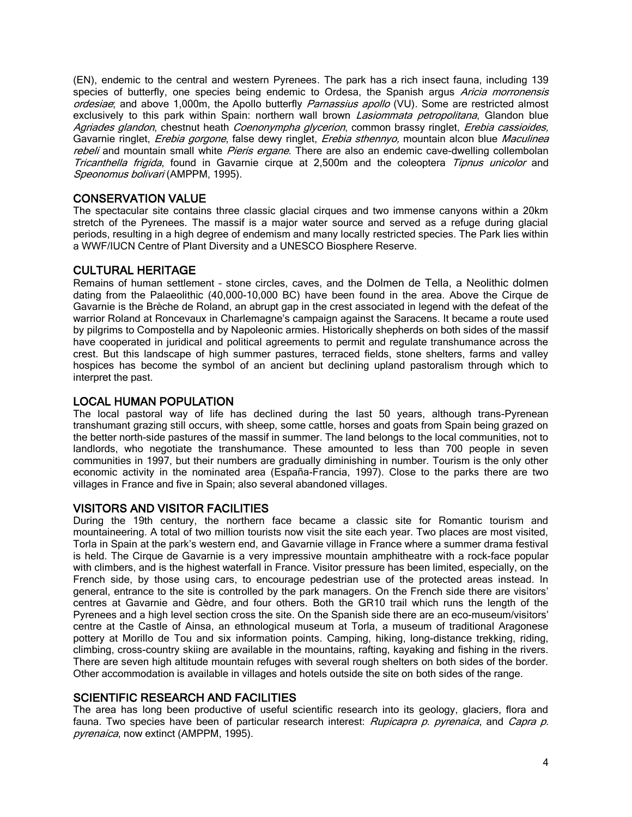(EN), endemic to the central and western Pyrenees. The park has a rich insect fauna, including 139 species of butterfly, one species being endemic to Ordesa, the Spanish argus Aricia morronensis ordesiae; and above 1,000m, the Apollo butterfly Parnassius apollo (VU). Some are restricted almost exclusively to this park within Spain: northern wall brown *Lasiommata petropolitana*, Glandon blue Agriades glandon, chestnut heath Coenonympha glycerion, common brassy ringlet, Erebia cassioides, Gavarnie ringlet, *Erebia gorgone*, false dewy ringlet, *Erebia sthennyo*, mountain alcon blue Maculinea rebeli and mountain small white Pieris ergane. There are also an endemic cave-dwelling collembolan Tricanthella frigida, found in Gavarnie cirque at 2,500m and the coleoptera Tipnus unicolor and Speonomus bolivari (AMPPM, 1995).

## CONSERVATION VALUE

The spectacular site contains three classic glacial cirques and two immense canyons within a 20km stretch of the Pyrenees. The massif is a major water source and served as a refuge during glacial periods, resulting in a high degree of endemism and many locally restricted species. The Park lies within a WWF/IUCN Centre of Plant Diversity and a UNESCO Biosphere Reserve.

### CULTURAL HERITAGE

Remains of human settlement – stone circles, caves, and the Dolmen de Tella, a Neolithic dolmen dating from the Palaeolithic (40,000-10,000 BC) have been found in the area. Above the Cirque de Gavarnie is the Brèche de Roland, an abrupt gap in the crest associated in legend with the defeat of the warrior Roland at Roncevaux in Charlemagne's campaign against the Saracens. It became a route used by pilgrims to Compostella and by Napoleonic armies. Historically shepherds on both sides of the massif have cooperated in juridical and political agreements to permit and regulate transhumance across the crest. But this landscape of high summer pastures, terraced fields, stone shelters, farms and valley hospices has become the symbol of an ancient but declining upland pastoralism through which to interpret the past.

### LOCAL HUMAN POPULATION

The local pastoral way of life has declined during the last 50 years, although trans-Pyrenean transhumant grazing still occurs, with sheep, some cattle, horses and goats from Spain being grazed on the better north-side pastures of the massif in summer. The land belongs to the local communities, not to landlords, who negotiate the transhumance. These amounted to less than 700 people in seven communities in 1997, but their numbers are gradually diminishing in number. Tourism is the only other economic activity in the nominated area (España-Francia, 1997). Close to the parks there are two villages in France and five in Spain; also several abandoned villages.

### VISITORS AND VISITOR FACILITIES

During the 19th century, the northern face became a classic site for Romantic tourism and mountaineering. A total of two million tourists now visit the site each year. Two places are most visited, Torla in Spain at the park's western end, and Gavarnie village in France where a summer drama festival is held. The Cirque de Gavarnie is a very impressive mountain amphitheatre with a rock-face popular with climbers, and is the highest waterfall in France. Visitor pressure has been limited, especially, on the French side, by those using cars, to encourage pedestrian use of the protected areas instead. In general, entrance to the site is controlled by the park managers. On the French side there are visitors' centres at Gavarnie and Gèdre, and four others. Both the GR10 trail which runs the length of the Pyrenees and a high level section cross the site. On the Spanish side there are an eco-museum/visitors' centre at the Castle of Ainsa, an ethnological museum at Torla, a museum of traditional Aragonese pottery at Morillo de Tou and six information points. Camping, hiking, long-distance trekking, riding, climbing, cross-country skiing are available in the mountains, rafting, kayaking and fishing in the rivers. There are seven high altitude mountain refuges with several rough shelters on both sides of the border. Other accommodation is available in villages and hotels outside the site on both sides of the range.

#### SCIENTIFIC RESEARCH AND FACILITIES

The area has long been productive of useful scientific research into its geology, glaciers, flora and fauna. Two species have been of particular research interest: *Rupicapra p. pyrenaica*, and *Capra p.* pyrenaica, now extinct (AMPPM, 1995).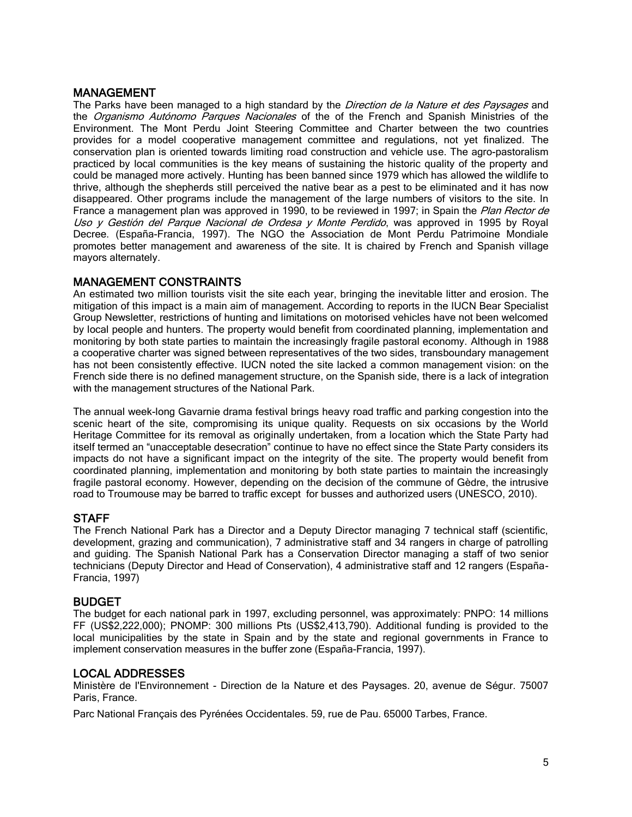#### MANAGEMENT

The Parks have been managed to a high standard by the *Direction de la Nature et des Paysages* and the *Organismo Autónomo Parques Nacionales* of the of the French and Spanish Ministries of the Environment. The Mont Perdu Joint Steering Committee and Charter between the two countries provides for a model cooperative management committee and regulations, not yet finalized. The conservation plan is oriented towards limiting road construction and vehicle use. The agro-pastoralism practiced by local communities is the key means of sustaining the historic quality of the property and could be managed more actively. Hunting has been banned since 1979 which has allowed the wildlife to thrive, although the shepherds still perceived the native bear as a pest to be eliminated and it has now disappeared. Other programs include the management of the large numbers of visitors to the site. In France a management plan was approved in 1990, to be reviewed in 1997; in Spain the Plan Rector de Uso y Gestión del Parque Nacional de Ordesa y Monte Perdido, was approved in 1995 by Royal Decree. (España-Francia, 1997). The NGO the Association de Mont Perdu Patrimoine Mondiale promotes better management and awareness of the site. It is chaired by French and Spanish village mayors alternately.

### MANAGEMENT CONSTRAINTS

An estimated two million tourists visit the site each year, bringing the inevitable litter and erosion. The mitigation of this impact is a main aim of management. According to reports in the IUCN Bear Specialist Group Newsletter, restrictions of hunting and limitations on motorised vehicles have not been welcomed by local people and hunters. The property would benefit from coordinated planning, implementation and monitoring by both state parties to maintain the increasingly fragile pastoral economy. Although in 1988 a cooperative charter was signed between representatives of the two sides, transboundary management has not been consistently effective. IUCN noted the site lacked a common management vision: on the French side there is no defined management structure, on the Spanish side, there is a lack of integration with the management structures of the National Park.

The annual week-long Gavarnie drama festival brings heavy road traffic and parking congestion into the scenic heart of the site, compromising its unique quality. Requests on six occasions by the World Heritage Committee for its removal as originally undertaken, from a location which the State Party had itself termed an "unacceptable desecration" continue to have no effect since the State Party considers its impacts do not have a significant impact on the integrity of the site. The property would benefit from coordinated planning, implementation and monitoring by both state parties to maintain the increasingly fragile pastoral economy. However, depending on the decision of the commune of Gèdre, the intrusive road to Troumouse may be barred to traffic except for busses and authorized users (UNESCO, 2010).

### **STAFF**

The French National Park has a Director and a Deputy Director managing 7 technical staff (scientific, development, grazing and communication), 7 administrative staff and 34 rangers in charge of patrolling and guiding. The Spanish National Park has a Conservation Director managing a staff of two senior technicians (Deputy Director and Head of Conservation), 4 administrative staff and 12 rangers (España-Francia, 1997)

### BUDGET

The budget for each national park in 1997, excluding personnel, was approximately: PNPO: 14 millions FF (US\$2,222,000); PNOMP: 300 millions Pts (US\$2,413,790). Additional funding is provided to the local municipalities by the state in Spain and by the state and regional governments in France to implement conservation measures in the buffer zone (España-Francia, 1997).

### LOCAL ADDRESSES

Ministère de l'Environnement - Direction de la Nature et des Paysages. 20, avenue de Ségur. 75007 Paris, France.

Parc National Français des Pyrénées Occidentales. 59, rue de Pau. 65000 Tarbes, France.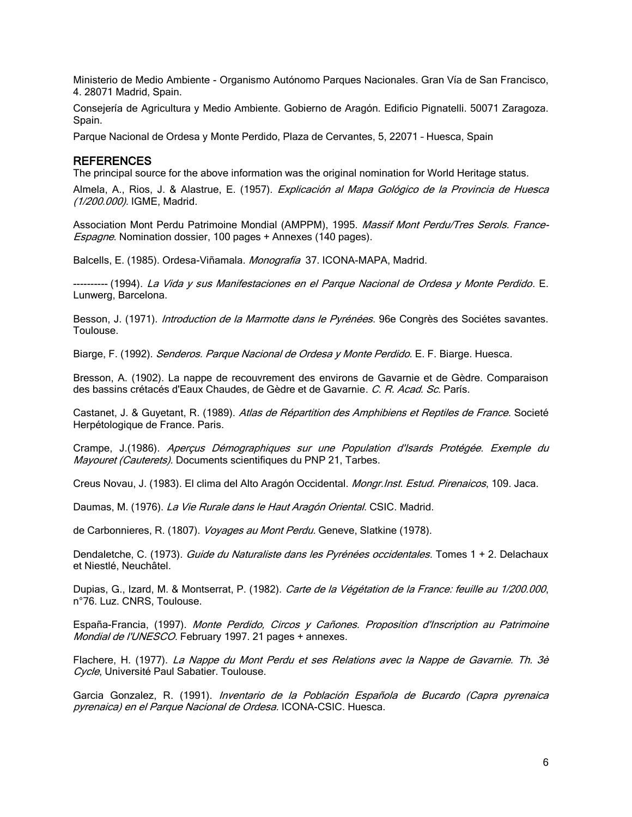Ministerio de Medio Ambiente - Organismo Autónomo Parques Nacionales. Gran Vía de San Francisco, 4. 28071 Madrid, Spain.

Consejería de Agricultura y Medio Ambiente. Gobierno de Aragón. Edificio Pignatelli. 50071 Zaragoza. Spain.

Parque Nacional de Ordesa y Monte Perdido, Plaza de Cervantes, 5, 22071 – Huesca, Spain

#### REFERENCES

The principal source for the above information was the original nomination for World Heritage status.

Almela, A., Rios, J. & Alastrue, E. (1957). Explicación al Mapa Gológico de la Provincia de Huesca (1/200.000). IGME, Madrid.

Association Mont Perdu Patrimoine Mondial (AMPPM), 1995. Massif Mont Perdu/Tres Serols. France-Espagne. Nomination dossier, 100 pages + Annexes (140 pages).

Balcells, E. (1985). Ordesa-Viñamala. Monografía 37. ICONA-MAPA, Madrid.

----- (1994). *La Vida y sus Manifestaciones en el Parque Nacional de Ordesa y Monte Perdido*. E. Lunwerg, Barcelona.

Besson, J. (1971). *Introduction de la Marmotte dans le Pyrénées*. 96e Congrès des Sociétes savantes. Toulouse.

Biarge, F. (1992). Senderos. Parque Nacional de Ordesa y Monte Perdido. E. F. Biarge. Huesca.

Bresson, A. (1902). La nappe de recouvrement des environs de Gavarnie et de Gèdre. Comparaison des bassins crétacés d'Eaux Chaudes, de Gèdre et de Gavarnie. C. R. Acad. Sc. París.

Castanet, J. & Guyetant, R. (1989). Atlas de Répartition des Amphibiens et Reptiles de France. Societé Herpétologique de France. Paris.

Crampe, J.(1986). Aperçus Démographiques sur une Population d'Isards Protégée. Exemple du Mayouret (Cauterets). Documents scientifiques du PNP 21, Tarbes.

Creus Novau, J. (1983). El clima del Alto Aragón Occidental. *Mongr. Inst. Estud. Pirenaicos*, 109. Jaca.

Daumas, M. (1976). La Vie Rurale dans le Haut Aragón Oriental. CSIC. Madrid.

de Carbonnieres, R. (1807). *Voyages au Mont Perdu.* Geneve, Slatkine (1978).

Dendaletche, C. (1973). Guide du Naturaliste dans les Pyrénées occidentales. Tomes 1 + 2. Delachaux et Niestlé, Neuchâtel.

Dupias, G., Izard, M. & Montserrat, P. (1982). Carte de la Végétation de la France: feuille au 1/200.000, n°76. Luz. CNRS, Toulouse.

España-Francia, (1997). Monte Perdido, Circos y Cañones. Proposition d'Inscription au Patrimoine Mondial de l'UNESCO. February 1997. 21 pages + annexes.

Flachere, H. (1977). La Nappe du Mont Perdu et ses Relations avec la Nappe de Gavarnie. Th. 3è Cycle, Université Paul Sabatier. Toulouse.

Garcia Gonzalez, R. (1991). Inventario de la Población Española de Bucardo (Capra pyrenaica pyrenaica) en el Parque Nacional de Ordesa. ICONA-CSIC. Huesca.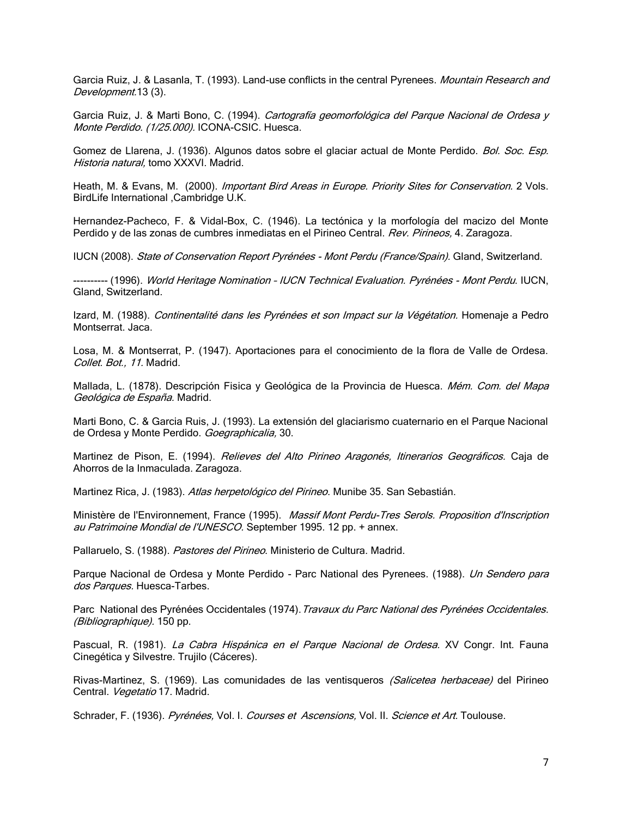Garcia Ruiz, J. & Lasanla, T. (1993). Land-use conflicts in the central Pyrenees. *Mountain Research and* Development.13 (3).

Garcia Ruiz, J. & Marti Bono, C. (1994). Cartografía geomorfológica del Parque Nacional de Ordesa y Monte Perdido. (1/25.000). ICONA-CSIC. Huesca.

Gomez de Llarena, J. (1936). Algunos datos sobre el glaciar actual de Monte Perdido. Bol. Soc. Esp. Historia natural, tomo XXXVI. Madrid.

Heath, M. & Evans, M. (2000). Important Bird Areas in Europe. Priority Sites for Conservation. 2 Vols. BirdLife International ,Cambridge U.K.

Hernandez-Pacheco, F. & Vidal-Box, C. (1946). La tectónica y la morfología del macizo del Monte Perdido y de las zonas de cumbres inmediatas en el Pirineo Central. Rev. Pirineos, 4. Zaragoza.

IUCN (2008). State of Conservation Report Pyrénées - Mont Perdu (France/Spain). Gland, Switzerland.

---------- (1996). World Heritage Nomination – IUCN Technical Evaluation. Pyrénées - Mont Perdu. IUCN, Gland, Switzerland.

Izard, M. (1988). Continentalité dans les Pyrénées et son Impact sur la Végétation. Homenaje a Pedro Montserrat. Jaca.

Losa, M. & Montserrat, P. (1947). Aportaciones para el conocimiento de la flora de Valle de Ordesa. Collet. Bot., 11. Madrid.

Mallada, L. (1878). Descripción Fisica y Geológica de la Provincia de Huesca. Mém. Com. del Mapa Geológica de España. Madrid.

Marti Bono, C. & Garcia Ruis, J. (1993). La extensión del glaciarismo cuaternario en el Parque Nacional de Ordesa y Monte Perdido. Goegraphicalia, 30.

Martinez de Pison, E. (1994). *Relieves del Alto Pirineo Aragonés, Itinerarios Geográficos.* Caja de Ahorros de la Inmaculada. Zaragoza.

Martinez Rica, J. (1983). Atlas herpetológico del Pirineo. Munibe 35. San Sebastián.

Ministère de l'Environnement, France (1995). Massif Mont Perdu-Tres Serols. Proposition d'Inscription au Patrimoine Mondial de l'UNESCO. September 1995. 12 pp. + annex.

Pallaruelo, S. (1988). Pastores del Pirineo. Ministerio de Cultura. Madrid.

Parque Nacional de Ordesa y Monte Perdido - Parc National des Pyrenees. (1988). Un Sendero para dos Parques. Huesca-Tarbes.

Parc National des Pyrénées Occidentales (1974). Travaux du Parc National des Pyrénées Occidentales. (Bibliographique). 150 pp.

Pascual, R. (1981). La Cabra Hispánica en el Parque Nacional de Ordesa. XV Congr. Int. Fauna Cinegética y Silvestre. Trujilo (Cáceres).

Rivas-Martinez, S. (1969). Las comunidades de las ventisqueros *(Salicetea herbaceae)* del Pirineo Central. Vegetatio 17. Madrid.

Schrader, F. (1936). Pyrénées, Vol. I. Courses et Ascensions, Vol. II. Science et Art. Toulouse.